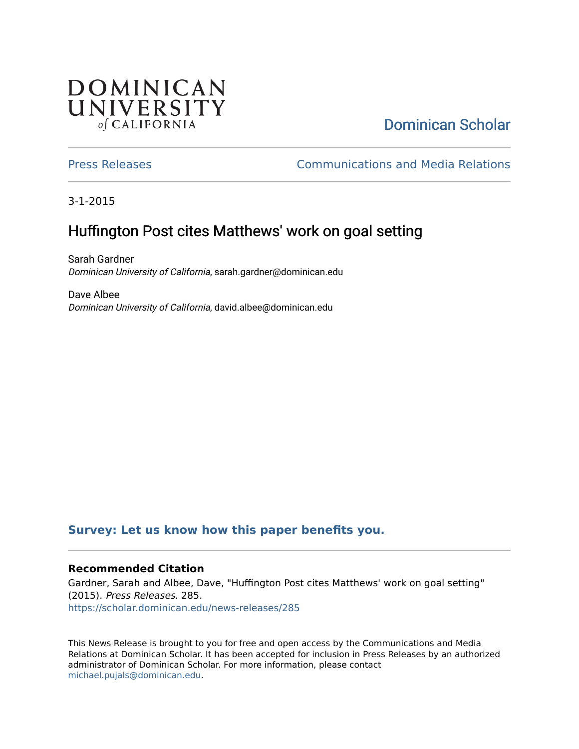## **DOMINICAN** UNIVERSITY of CALIFORNIA

# [Dominican Scholar](https://scholar.dominican.edu/)

[Press Releases](https://scholar.dominican.edu/news-releases) [Communications and Media Relations](https://scholar.dominican.edu/communications-media) 

3-1-2015

# Huffington Post cites Matthews' work on goal setting

Sarah Gardner Dominican University of California, sarah.gardner@dominican.edu

Dave Albee Dominican University of California, david.albee@dominican.edu

#### **[Survey: Let us know how this paper benefits you.](https://dominican.libwizard.com/dominican-scholar-feedback)**

#### **Recommended Citation**

Gardner, Sarah and Albee, Dave, "Huffington Post cites Matthews' work on goal setting" (2015). Press Releases. 285. [https://scholar.dominican.edu/news-releases/285](https://scholar.dominican.edu/news-releases/285?utm_source=scholar.dominican.edu%2Fnews-releases%2F285&utm_medium=PDF&utm_campaign=PDFCoverPages)

This News Release is brought to you for free and open access by the Communications and Media Relations at Dominican Scholar. It has been accepted for inclusion in Press Releases by an authorized administrator of Dominican Scholar. For more information, please contact [michael.pujals@dominican.edu.](mailto:michael.pujals@dominican.edu)